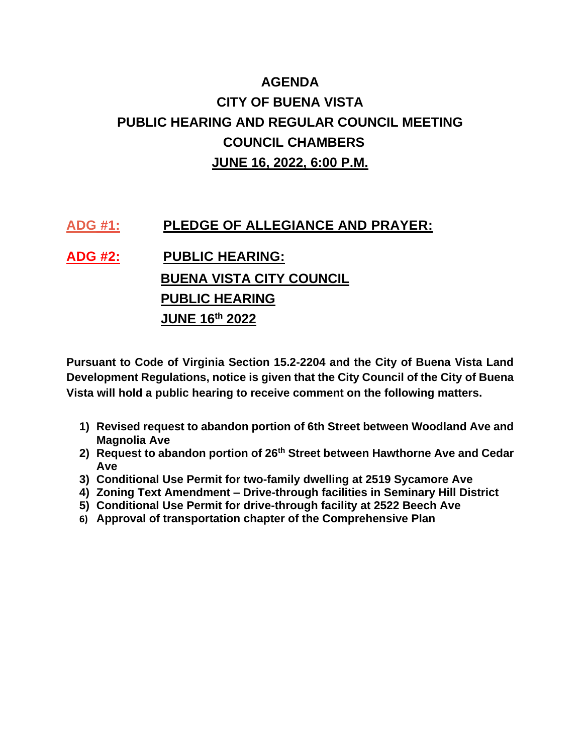## **AGENDA CITY OF BUENA VISTA PUBLIC HEARING AND REGULAR COUNCIL MEETING COUNCIL CHAMBERS JUNE 16, 2022, 6:00 P.M.**

## **ADG #1: PLEDGE OF ALLEGIANCE AND PRAYER:**

**ADG #2: PUBLIC HEARING: BUENA VISTA CITY COUNCIL PUBLIC HEARING JUNE 16th 2022**

**Pursuant to Code of Virginia Section 15.2-2204 and the City of Buena Vista Land Development Regulations, notice is given that the City Council of the City of Buena Vista will hold a public hearing to receive comment on the following matters.**

- **1) Revised request to abandon portion of 6th Street between Woodland Ave and Magnolia Ave**
- **2) Request to abandon portion of 26th Street between Hawthorne Ave and Cedar Ave**
- **3) Conditional Use Permit for two-family dwelling at 2519 Sycamore Ave**
- **4) Zoning Text Amendment – Drive-through facilities in Seminary Hill District**
- **5) Conditional Use Permit for drive-through facility at 2522 Beech Ave**
- **6) Approval of transportation chapter of the Comprehensive Plan**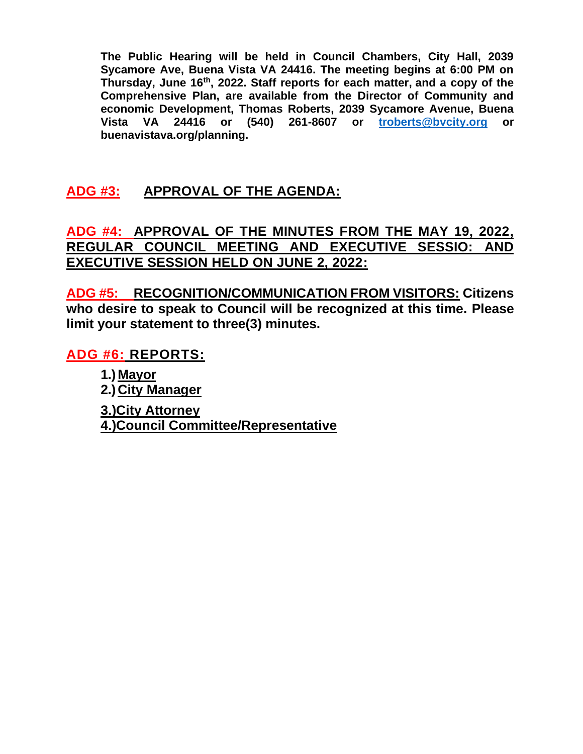**The Public Hearing will be held in Council Chambers, City Hall, 2039 Sycamore Ave, Buena Vista VA 24416. The meeting begins at 6:00 PM on Thursday, June 16th, 2022. Staff reports for each matter, and a copy of the Comprehensive Plan, are available from the Director of Community and economic Development, Thomas Roberts, 2039 Sycamore Avenue, Buena Vista VA 24416 or (540) 261-8607 or [troberts@bvcity.org](mailto:troberts@bvcity.org) or buenavistava.org/planning.**

## **ADG #3: APPROVAL OF THE AGENDA:**

**ADG #4: APPROVAL OF THE MINUTES FROM THE MAY 19, 2022, REGULAR COUNCIL MEETING AND EXECUTIVE SESSIO: AND EXECUTIVE SESSION HELD ON JUNE 2, 2022:**

**ADG #5: RECOGNITION/COMMUNICATION FROM VISITORS: Citizens who desire to speak to Council will be recognized at this time. Please limit your statement to three(3) minutes.** 

**ADG #6: REPORTS:** 

**1.) Mayor 2.) City Manager 3.)City Attorney 4.)Council Committee/Representative**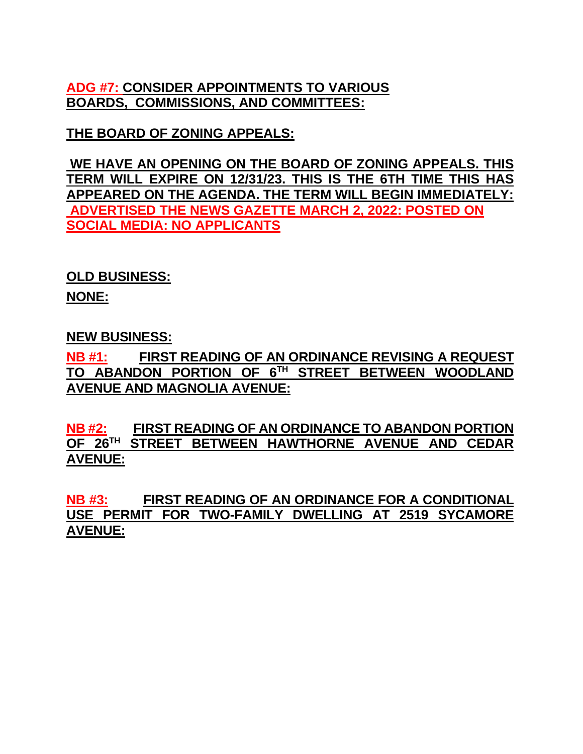**ADG #7: CONSIDER APPOINTMENTS TO VARIOUS BOARDS, COMMISSIONS, AND COMMITTEES:**

**THE BOARD OF ZONING APPEALS:**

**WE HAVE AN OPENING ON THE BOARD OF ZONING APPEALS. THIS TERM WILL EXPIRE ON 12/31/23. THIS IS THE 6TH TIME THIS HAS APPEARED ON THE AGENDA. THE TERM WILL BEGIN IMMEDIATELY: ADVERTISED THE NEWS GAZETTE MARCH 2, 2022: POSTED ON SOCIAL MEDIA: NO APPLICANTS**

**OLD BUSINESS:**

**NONE:**

**NEW BUSINESS:**

**NB #1: FIRST READING OF AN ORDINANCE REVISING A REQUEST TO ABANDON PORTION OF 6TH STREET BETWEEN WOODLAND AVENUE AND MAGNOLIA AVENUE:**

**NB #2: FIRST READING OF AN ORDINANCE TO ABANDON PORTION OF 26TH STREET BETWEEN HAWTHORNE AVENUE AND CEDAR AVENUE:**

**NB #3: FIRST READING OF AN ORDINANCE FOR A CONDITIONAL USE PERMIT FOR TWO-FAMILY DWELLING AT 2519 SYCAMORE AVENUE:**